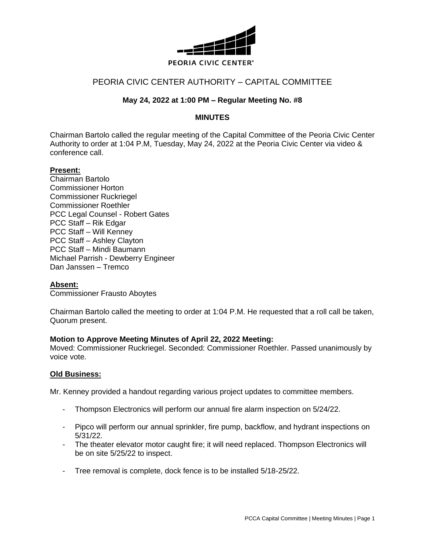

# PEORIA CIVIC CENTER AUTHORITY – CAPITAL COMMITTEE

## **May 24, 2022 at 1:00 PM – Regular Meeting No. #8**

### **MINUTES**

Chairman Bartolo called the regular meeting of the Capital Committee of the Peoria Civic Center Authority to order at 1:04 P.M, Tuesday, May 24, 2022 at the Peoria Civic Center via video & conference call.

#### **Present:**

Chairman Bartolo Commissioner Horton Commissioner Ruckriegel Commissioner Roethler PCC Legal Counsel - Robert Gates PCC Staff – Rik Edgar PCC Staff – Will Kenney PCC Staff – Ashley Clayton PCC Staff – Mindi Baumann Michael Parrish - Dewberry Engineer Dan Janssen – Tremco

#### **Absent:**

Commissioner Frausto Aboytes

Chairman Bartolo called the meeting to order at 1:04 P.M. He requested that a roll call be taken, Quorum present.

#### **Motion to Approve Meeting Minutes of April 22, 2022 Meeting:**

Moved: Commissioner Ruckriegel. Seconded: Commissioner Roethler. Passed unanimously by voice vote.

#### **Old Business:**

Mr. Kenney provided a handout regarding various project updates to committee members.

- Thompson Electronics will perform our annual fire alarm inspection on 5/24/22.
- Pipco will perform our annual sprinkler, fire pump, backflow, and hydrant inspections on 5/31/22.
- The theater elevator motor caught fire; it will need replaced. Thompson Electronics will be on site 5/25/22 to inspect.
- Tree removal is complete, dock fence is to be installed 5/18-25/22.